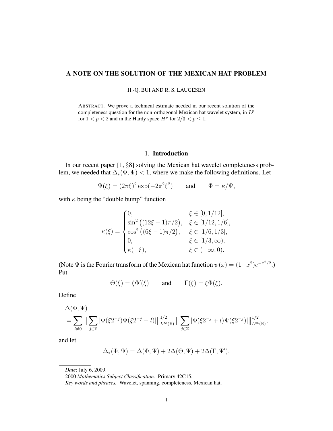## A NOTE ON THE SOLUTION OF THE MEXICAN HAT PROBLEM

H.-Q. BUI AND R. S. LAUGESEN

ABSTRACT. We prove a technical estimate needed in our recent solution of the completeness question for the non-orthogonal Mexican hat wavelet system, in  $L^p$ for  $1 < p < 2$  and in the Hardy space  $H^p$  for  $2/3 < p \le 1$ .

## 1. Introduction

In our recent paper [1, §8] solving the Mexican hat wavelet completeness problem, we needed that  $\Delta_*(\Phi, \Psi) < 1$ , where we make the following definitions. Let

$$
\Psi(\xi) = (2\pi\xi)^2 \exp(-2\pi^2\xi^2) \quad \text{and} \quad \Phi = \kappa/\Psi,
$$

with  $\kappa$  being the "double bump" function

$$
\kappa(\xi) = \begin{cases}\n0, & \xi \in [0, 1/12], \\
\sin^2 \left( (12\xi - 1)\pi/2 \right), & \xi \in [1/12, 1/6], \\
\cos^2 \left( (6\xi - 1)\pi/2 \right), & \xi \in [1/6, 1/3], \\
0, & \xi \in [1/3, \infty), \\
\kappa(-\xi), & \xi \in (-\infty, 0).\n\end{cases}
$$

(Note  $\Psi$  is the Fourier transform of the Mexican hat function  $\psi(x) = (1-x^2)e^{-x^2/2}$ .) Put

$$
\Theta(\xi) = \xi \Phi'(\xi) \qquad \text{and} \qquad \Gamma(\xi) = \xi \Phi(\xi).
$$

Define

$$
\Delta(\Phi, \Psi) = \sum_{l \neq 0} \|\sum_{j \in \mathbb{Z}} |\Phi(\xi 2^{-j})\Psi(\xi 2^{-j} - l)|\|_{L^{\infty}(\mathbb{R})}^{1/2} \|\sum_{j \in \mathbb{Z}} |\Phi(\xi 2^{-j} + l)\Psi(\xi 2^{-j})|\|_{L^{\infty}(\mathbb{R})}^{1/2},
$$

and let

$$
\Delta_*(\Phi, \Psi) = \Delta(\Phi, \Psi) + 2\Delta(\Theta, \Psi) + 2\Delta(\Gamma, \Psi').
$$

*Date*: July 6, 2009.

<sup>2000</sup> *Mathematics Subject Classification.* Primary 42C15.

*Key words and phrases.* Wavelet, spanning, completeness, Mexican hat.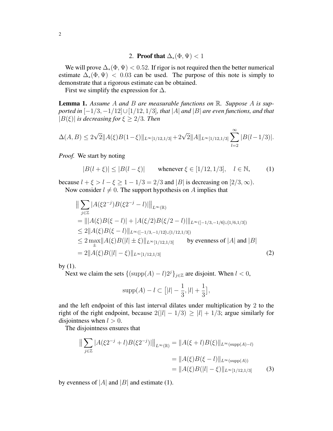2. Proof that  $\Delta_*(\Phi, \Psi) < 1$ 

We will prove  $\Delta_*(\Phi, \Psi) < 0.52$ . If rigor is not required then the better numerical estimate  $\Delta_*(\Phi, \Psi) < 0.03$  can be used. The purpose of this note is simply to demonstrate that a rigorous estimate can be obtained.

First we simplify the expression for  $\Delta$ .

Lemma 1. *Assume* A *and* B *are measurable functions on* R*. Suppose* A *is supported in* [−1/3, −1/12]∪[1/12, 1/3]*, that* |A| *and* |B| *are even functions, and that*  $|B(\xi)|$  *is decreasing for*  $\xi \geq 2/3$ *. Then* 

$$
\Delta(A,B) \le 2\sqrt{2}||A(\xi)B(1-\xi)||_{L^{\infty}[1/12,1/3]} + 2\sqrt{2}||A||_{L^{\infty}[1/12,1/3]} \sum_{l=2}^{\infty} |B(l-1/3)|.
$$

*Proof.* We start by noting

$$
|B(l+\xi)| \le |B(l-\xi)| \qquad \text{whenever } \xi \in [1/12, 1/3], \quad l \in \mathbb{N}, \tag{1}
$$

because  $l + \xi > l - \xi \ge 1 - 1/3 = 2/3$  and |B| is decreasing on  $[2/3, \infty)$ . Now consider  $l \neq 0$ . The support hypothesis on A implies that

$$
\|\sum_{j\in\mathbb{Z}}|A(\xi 2^{-j})B(\xi 2^{-j}-l)|\|_{L^{\infty}(\mathbb{R})}
$$
  
\n
$$
=\||A(\xi)B(\xi-l)|+|A(\xi/2)B(\xi/2-l)|\|_{L^{\infty}([-1/3,-1/6]\cup[1/6,1/3])}
$$
  
\n
$$
\leq 2\|A(\xi)B(\xi-l)\|_{L^{\infty}([-1/3,-1/12]\cup[1/12,1/3])}
$$
  
\n
$$
\leq 2\max_{\pm}\|A(\xi)B(|l|\pm\xi)\|_{L^{\infty}[1/12,1/3]}
$$
 by evenness of |A| and |B|  
\n
$$
= 2\|A(\xi)B(|l|-\xi)\|_{L^{\infty}[1/12,1/3]}
$$
 (2)

by (1).

Next we claim the sets  $\{(\text{supp}(A) - l)2^{j}\}_{j \in \mathbb{Z}}$  are disjoint. When  $l < 0$ ,

$$
supp(A) - l \subset [ |l| - \frac{1}{3}, |l| + \frac{1}{3}],
$$

and the left endpoint of this last interval dilates under multiplication by 2 to the right of the right endpoint, because  $2(|l| - 1/3) \ge |l| + 1/3$ ; argue similarly for disjointness when  $l > 0$ .

The disjointness ensures that

$$
\|\sum_{j\in\mathbb{Z}}|A(\xi 2^{-j}+l)B(\xi 2^{-j})|\|_{L^{\infty}(\mathbb{R})} = \|A(\xi+l)B(\xi)\|_{L^{\infty}(\text{supp}(A)-l)}
$$

$$
= \|A(\xi)B(\xi-l)\|_{L^{\infty}(\text{supp}(A))}
$$

$$
= \|A(\xi)B(|l|-\xi)\|_{L^{\infty}[1/12,1/3]} \qquad (3)
$$

by evenness of |A| and |B| and estimate (1).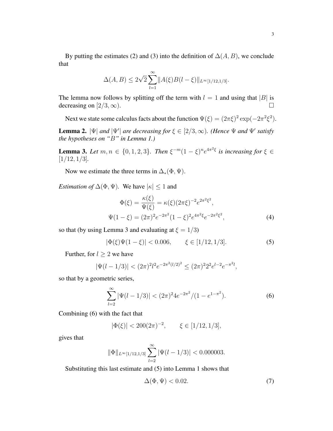By putting the estimates (2) and (3) into the definition of  $\Delta(A, B)$ , we conclude that

$$
\Delta(A, B) \le 2\sqrt{2} \sum_{l=1}^{\infty} ||A(\xi)B(l-\xi)||_{L^{\infty}[1/12,1/3]}.
$$

The lemma now follows by splitting off the term with  $l = 1$  and using that  $|B|$  is decreasing on [2/3,  $\infty$ ).

Next we state some calculus facts about the function  $\Psi(\xi) = (2\pi\xi)^2 \exp(-2\pi^2\xi^2)$ .

**Lemma 2.**  $|\Psi|$  and  $|\Psi'|$  are decreasing for  $\xi \in [2/3, \infty)$ . (Hence  $\Psi$  and  $\Psi'$  satisfy *the hypotheses on "*B*" in Lemma 1.)*

**Lemma 3.** Let  $m, n \in \{0, 1, 2, 3\}$ . Then  $\xi^{-m}(1-\xi)^n e^{4\pi^2\xi}$  is increasing for  $\xi \in$ [1/12, 1/3]*.*

Now we estimate the three terms in  $\Delta_*(\Phi, \Psi)$ .

*Estimation of*  $\Delta(\Phi, \Psi)$ *.* We have  $|\kappa| \leq 1$  and

$$
\Phi(\xi) = \frac{\kappa(\xi)}{\Psi(\xi)} = \kappa(\xi)(2\pi\xi)^{-2}e^{2\pi^2\xi^2},
$$
  

$$
\Psi(1-\xi) = (2\pi)^2e^{-2\pi^2}(1-\xi)^2e^{4\pi^2\xi}e^{-2\pi^2\xi^2},
$$
 (4)

so that (by using Lemma 3 and evaluating at  $\xi = 1/3$ )

$$
|\Phi(\xi)\Psi(1-\xi)| < 0.006, \qquad \xi \in [1/12, 1/3]. \tag{5}
$$

Further, for  $l \geq 2$  we have

$$
|\Psi(l - 1/3)| < (2\pi)^2 l^2 e^{-2\pi^2 (l/2)^2} \le (2\pi)^2 2^2 e^{l-2} e^{-\pi^2 l},
$$

so that by a geometric series,

$$
\sum_{l=2}^{\infty} |\Psi(l-1/3)| < (2\pi)^2 4e^{-2\pi^2} / (1 - e^{1 - \pi^2}).\tag{6}
$$

Combining (6) with the fact that

$$
|\Phi(\xi)| < 200(2\pi)^{-2}, \qquad \xi \in [1/12, 1/3],
$$

gives that

$$
\|\Phi\|_{L^{\infty}[1/12,1/3]} \sum_{l=2}^{\infty} |\Psi(l-1/3)| < 0.000003.
$$

Substituting this last estimate and (5) into Lemma 1 shows that

$$
\Delta(\Phi, \Psi) < 0.02. \tag{7}
$$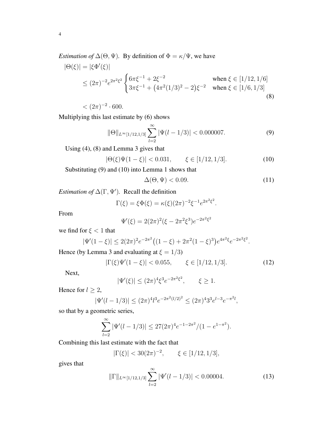*Estimation of*  $\Delta(\Theta, \Psi)$ *.* By definition of  $\Phi = \kappa/\Psi$ *, we have* 

$$
|\Theta(\xi)| = |\xi \Phi'(\xi)|
$$
  
\n
$$
\leq (2\pi)^{-2} e^{2\pi^2 \xi^2} \begin{cases} 6\pi \xi^{-1} + 2\xi^{-2} & \text{when } \xi \in [1/12, 1/6] \\ 3\pi \xi^{-1} + (4\pi^2 (1/3)^2 - 2)\xi^{-2} & \text{when } \xi \in [1/6, 1/3] \end{cases}
$$
(8)

 $< (2\pi)^{-2} \cdot 600.$ 

Multiplying this last estimate by (6) shows

$$
\|\Theta\|_{L^{\infty}[1/12,1/3]} \sum_{l=2}^{\infty} |\Psi(l-1/3)| < 0.000007.
$$
 (9)

Using (4), (8) and Lemma 3 gives that

 $|\Theta(\xi)\Psi(1-\xi)| < 0.031, \qquad \xi \in [1/12, 1/3].$  (10)

Substituting (9) and (10) into Lemma 1 shows that

$$
\Delta(\Theta, \Psi) < 0.09. \tag{11}
$$

*Estimation of*  $\Delta(\Gamma, \Psi')$ . Recall the definition

$$
\Gamma(\xi) = \xi \Phi(\xi) = \kappa(\xi)(2\pi)^{-2} \xi^{-1} e^{2\pi^2 \xi^2}.
$$

From

$$
\Psi'(\xi) = 2(2\pi)^2(\xi - 2\pi^2\xi^3)e^{-2\pi^2\xi^2}
$$

we find for  $\xi < 1$  that

$$
|\Psi'(1-\xi)| \le 2(2\pi)^2 e^{-2\pi^2} \big( (1-\xi) + 2\pi^2 (1-\xi)^3 \big) e^{4\pi^2 \xi} e^{-2\pi^2 \xi^2}.
$$

Hence (by Lemma 3 and evaluating at  $\xi = 1/3$ )

$$
|\Gamma(\xi)\Psi'(1-\xi)| < 0.055, \qquad \xi \in [1/12, 1/3]. \tag{12}
$$

Next,

$$
|\Psi'(\xi)| \le (2\pi)^4 \xi^3 e^{-2\pi^2 \xi^2}, \qquad \xi \ge 1.
$$

Hence for  $l \geq 2$ ,

$$
|\Psi'(l - 1/3)| \le (2\pi)^4 l^3 e^{-2\pi^2 (l/2)^2} \le (2\pi)^4 3^3 e^{l-3} e^{-\pi^2 l},
$$

so that by a geometric series,

$$
\sum_{l=2}^{\infty} |\Psi'(l-1/3)| \leq 27(2\pi)^4 e^{-1-2\pi^2} / (1 - e^{1-\pi^2}).
$$

Combining this last estimate with the fact that

$$
|\Gamma(\xi)| < 30(2\pi)^{-2}, \qquad \xi \in [1/12, 1/3],
$$

gives that

$$
\|\Gamma\|_{L^{\infty}[1/12,1/3]} \sum_{l=2}^{\infty} |\Psi'(l-1/3)| < 0.00004.
$$
 (13)